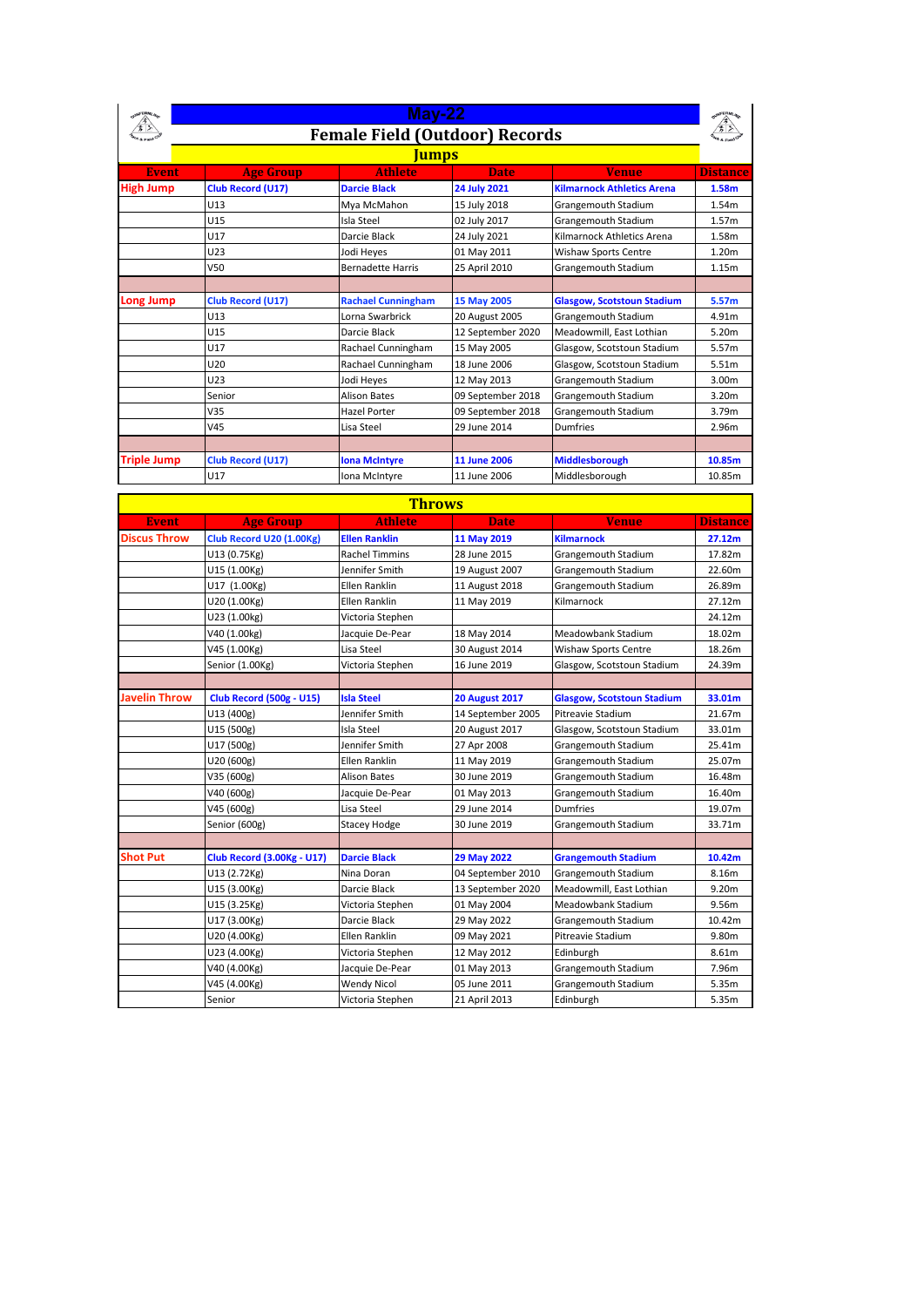| <b>ONFERMLE</b>    | $May-22$                              |                           |                   |                                   |                   |  |  |  |
|--------------------|---------------------------------------|---------------------------|-------------------|-----------------------------------|-------------------|--|--|--|
|                    | <b>Female Field (Outdoor) Records</b> |                           |                   |                                   |                   |  |  |  |
| <b>Jumps</b>       |                                       |                           |                   |                                   |                   |  |  |  |
| <b>Event</b>       | <b>Age Group</b>                      | <b>Athlete</b>            | <b>Date</b>       | <b>Venue</b>                      | <b>Distance</b>   |  |  |  |
| <b>High Jump</b>   | Club Record (U17)                     | <b>Darcie Black</b>       | 24 July 2021      | <b>Kilmarnock Athletics Arena</b> | 1.58m             |  |  |  |
|                    | U13                                   | Mya McMahon               | 15 July 2018      | Grangemouth Stadium               | 1.54m             |  |  |  |
|                    | U <sub>15</sub>                       | Isla Steel                | 02 July 2017      | Grangemouth Stadium               | 1.57m             |  |  |  |
|                    | U17                                   | Darcie Black              | 24 July 2021      | Kilmarnock Athletics Arena        | 1.58m             |  |  |  |
|                    | U <sub>23</sub>                       | Jodi Heyes                | 01 May 2011       | Wishaw Sports Centre              | 1.20m             |  |  |  |
|                    | V <sub>50</sub>                       | <b>Bernadette Harris</b>  | 25 April 2010     | Grangemouth Stadium               | 1.15m             |  |  |  |
|                    |                                       |                           |                   |                                   |                   |  |  |  |
| Long Jump          | Club Record (U17)                     | <b>Rachael Cunningham</b> | 15 May 2005       | <b>Glasgow, Scotstoun Stadium</b> | 5.57m             |  |  |  |
|                    | U13                                   | Lorna Swarbrick           | 20 August 2005    | Grangemouth Stadium               | 4.91m             |  |  |  |
|                    | U15                                   | Darcie Black              | 12 September 2020 | Meadowmill, East Lothian          | 5.20m             |  |  |  |
|                    | U17                                   | Rachael Cunningham        | 15 May 2005       | Glasgow, Scotstoun Stadium        | 5.57m             |  |  |  |
|                    | U20                                   | Rachael Cunningham        | 18 June 2006      | Glasgow, Scotstoun Stadium        | 5.51m             |  |  |  |
|                    | U23                                   | Jodi Heyes                | 12 May 2013       | Grangemouth Stadium               | 3.00m             |  |  |  |
|                    | Senior                                | <b>Alison Bates</b>       | 09 September 2018 | Grangemouth Stadium               | 3.20 <sub>m</sub> |  |  |  |
|                    | V <sub>35</sub>                       | <b>Hazel Porter</b>       | 09 September 2018 | Grangemouth Stadium               | 3.79m             |  |  |  |
|                    | V45                                   | Lisa Steel                | 29 June 2014      | <b>Dumfries</b>                   | 2.96m             |  |  |  |
|                    |                                       |                           |                   |                                   |                   |  |  |  |
| <b>Triple Jump</b> | Club Record (U17)                     | <b>Iona McIntyre</b>      | 11 June 2006      | Middlesborough                    | 10.85m            |  |  |  |
|                    | U <sub>17</sub>                       | Iona McIntyre             | 11 June 2006      | Middlesborough                    | 10.85m            |  |  |  |

| <b>Throws</b>        |                                   |                       |                       |                                   |                 |  |  |  |
|----------------------|-----------------------------------|-----------------------|-----------------------|-----------------------------------|-----------------|--|--|--|
| <b>Event</b>         | <b>Age Group</b>                  | <b>Athlete</b>        | <b>Date</b>           | <b>Venue</b>                      | <b>Distance</b> |  |  |  |
| <b>Discus Throw</b>  | Club Record U20 (1.00Kg)          | <b>Ellen Ranklin</b>  | 11 May 2019           | <b>Kilmarnock</b>                 | 27.12m          |  |  |  |
|                      | U13 (0.75Kg)                      | <b>Rachel Timmins</b> | 28 June 2015          | Grangemouth Stadium               | 17.82m          |  |  |  |
|                      | U15 (1.00Kg)                      | Jennifer Smith        | 19 August 2007        | Grangemouth Stadium               | 22.60m          |  |  |  |
|                      | U17 (1.00Kg)                      | <b>Ellen Ranklin</b>  | 11 August 2018        | Grangemouth Stadium               | 26.89m          |  |  |  |
|                      | U20 (1.00Kg)                      | <b>Ellen Ranklin</b>  | 11 May 2019           | Kilmarnock                        | 27.12m          |  |  |  |
|                      | U23 (1.00kg)                      | Victoria Stephen      |                       |                                   | 24.12m          |  |  |  |
|                      | V40 (1.00kg)                      | Jacquie De-Pear       | 18 May 2014           | Meadowbank Stadium                | 18.02m          |  |  |  |
|                      | V45 (1.00Kg)                      | Lisa Steel            | 30 August 2014        | Wishaw Sports Centre              | 18.26m          |  |  |  |
|                      | Senior (1.00Kg)                   | Victoria Stephen      | 16 June 2019          | Glasgow, Scotstoun Stadium        | 24.39m          |  |  |  |
|                      |                                   |                       |                       |                                   |                 |  |  |  |
| <b>Javelin Throw</b> | <b>Club Record (500g - U15)</b>   | <b>Isla Steel</b>     | <b>20 August 2017</b> | <b>Glasgow, Scotstoun Stadium</b> | 33.01m          |  |  |  |
|                      | U13 (400g)                        | Jennifer Smith        | 14 September 2005     | Pitreavie Stadium                 | 21.67m          |  |  |  |
|                      | U15 (500g)                        | Isla Steel            | 20 August 2017        | Glasgow, Scotstoun Stadium        | 33.01m          |  |  |  |
|                      | U17 (500g)                        | Jennifer Smith        | 27 Apr 2008           | Grangemouth Stadium               | 25.41m          |  |  |  |
|                      | U20 (600g)                        | Ellen Ranklin         | 11 May 2019           | Grangemouth Stadium               | 25.07m          |  |  |  |
|                      | V35 (600g)                        | <b>Alison Bates</b>   | 30 June 2019          | Grangemouth Stadium               | 16.48m          |  |  |  |
|                      | V40 (600g)                        | Jacquie De-Pear       | 01 May 2013           | Grangemouth Stadium               | 16.40m          |  |  |  |
|                      | V45 (600g)                        | Lisa Steel            | 29 June 2014          | Dumfries                          | 19.07m          |  |  |  |
|                      | Senior (600g)                     | <b>Stacey Hodge</b>   | 30 June 2019          | Grangemouth Stadium               | 33.71m          |  |  |  |
|                      |                                   |                       |                       |                                   |                 |  |  |  |
| <b>Shot Put</b>      | <b>Club Record (3.00Kg - U17)</b> | <b>Darcie Black</b>   | 29 May 2022           | <b>Grangemouth Stadium</b>        | 10.42m          |  |  |  |
|                      | U13 (2.72Kg)                      | Nina Doran            | 04 September 2010     | Grangemouth Stadium               | 8.16m           |  |  |  |
|                      | U15 (3.00Kg)                      | Darcie Black          | 13 September 2020     | Meadowmill, East Lothian          | 9.20m           |  |  |  |
|                      | U15 (3.25Kg)                      | Victoria Stephen      | 01 May 2004           | Meadowbank Stadium                | 9.56m           |  |  |  |
|                      | U17 (3.00Kg)                      | Darcie Black          | 29 May 2022           | Grangemouth Stadium               | 10.42m          |  |  |  |
|                      | U20 (4.00Kg)                      | <b>Ellen Ranklin</b>  | 09 May 2021           | Pitreavie Stadium                 | 9.80m           |  |  |  |
|                      | U23 (4.00Kg)                      | Victoria Stephen      | 12 May 2012           | Edinburgh                         | 8.61m           |  |  |  |
|                      | V40 (4.00Kg)                      | Jacquie De-Pear       | 01 May 2013           | Grangemouth Stadium               | 7.96m           |  |  |  |
|                      | V45 (4.00Kg)                      | <b>Wendy Nicol</b>    | 05 June 2011          | Grangemouth Stadium               | 5.35m           |  |  |  |
|                      | Senior                            | Victoria Stephen      | 21 April 2013         | Edinburgh                         | 5.35m           |  |  |  |